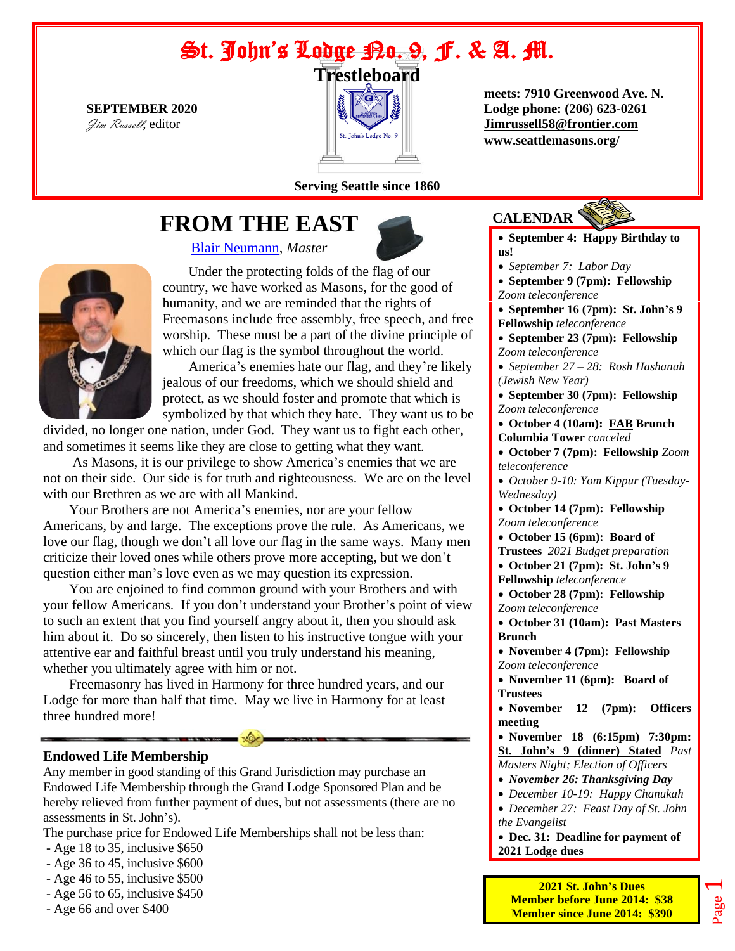# St. John's Ladge Bo. 9, F. & A. M.



 **meets: 7910 Greenwood Ave. N. SEPTEMBER 2020 Lodge phone: (206) 623-0261** [Jimrussell58@frontier.com](mailto:jimrussell58@frontier.com)  **www.seattlemasons.org/**

#### **Serving Seattle since 1860**

# **FROM THE EAST**

[Blair Neumann,](mailto:blairn@outlook.com) *Master*



Under the protecting folds of the flag of our country, we have worked as Masons, for the good of humanity, and we are reminded that the rights of Freemasons include free assembly, free speech, and free worship. These must be a part of the divine principle of which our flag is the symbol throughout the world.

America's enemies hate our flag, and they're likely jealous of our freedoms, which we should shield and protect, as we should foster and promote that which is symbolized by that which they hate. They want us to be

divided, no longer one nation, under God. They want us to fight each other, and sometimes it seems like they are close to getting what they want.

As Masons, it is our privilege to show America's enemies that we are not on their side. Our side is for truth and righteousness. We are on the level with our Brethren as we are with all Mankind.

Your Brothers are not America's enemies, nor are your fellow Americans, by and large. The exceptions prove the rule. As Americans, we love our flag, though we don't all love our flag in the same ways. Many men criticize their loved ones while others prove more accepting, but we don't question either man's love even as we may question its expression.

You are enjoined to find common ground with your Brothers and with your fellow Americans. If you don't understand your Brother's point of view to such an extent that you find yourself angry about it, then you should ask him about it. Do so sincerely, then listen to his instructive tongue with your attentive ear and faithful breast until you truly understand his meaning, whether you ultimately agree with him or not.

Freemasonry has lived in Harmony for three hundred years, and our Lodge for more than half that time. May we live in Harmony for at least three hundred more!

#### **Endowed Life Membership**

Any member in good standing of this Grand Jurisdiction may purchase an Endowed Life Membership through the Grand Lodge Sponsored Plan and be hereby relieved from further payment of dues, but not assessments (there are no assessments in St. John's).

The purchase price for Endowed Life Memberships shall not be less than:

- Age 18 to 35, inclusive \$650
- Age 36 to 45, inclusive \$600
- Age 46 to 55, inclusive \$500
- Age 56 to 65, inclusive \$450
- Age 66 and over \$400

## **CALENDAR**

- **September 4: Happy Birthday to us!**
- *September 7: Labor Day*
- **September 9 (7pm): Fellowship**  *Zoom teleconference*
- **September 16 (7pm): St. John's 9 Fellowship** *teleconference*
- **September 23 (7pm): Fellowship**  *Zoom teleconference*
- *September 27 – 28: Rosh Hashanah (Jewish New Year)*

• **September 30 (7pm): Fellowship**  *Zoom teleconference*

- **October 4 (10am): FAB Brunch Columbia Tower** *canceled*
- **October 7 (7pm): Fellowship** *Zoom teleconference*
- *October 9-10: Yom Kippur (Tuesday-Wednesday)*
- **October 14 (7pm): Fellowship**  *Zoom teleconference*
- **October 15 (6pm): Board of**
- **Trustees** *2021 Budget preparation*
- **October 21 (7pm): St. John's 9 Fellowship** *teleconference*
- **October 28 (7pm): Fellowship**  *Zoom teleconference*
- **October 31 (10am): Past Masters Brunch**
- **November 4 (7pm): Fellowship**  *Zoom teleconference*
- **November 11 (6pm): Board of Trustees**
- **November 12 (7pm): Officers meeting**

• **November 18 (6:15pm) 7:30pm: St. John's 9 (dinner) Stated** *Past Masters Night; Election of Officers*

- *November 26: Thanksgiving Day*
- *December 10-19: Happy Chanukah*

• *December 27: Feast Day of St. John the Evangelist*

• **Dec. 31: Deadline for payment of 2021 Lodge dues**

Page

 $\overline{\phantom{0}}$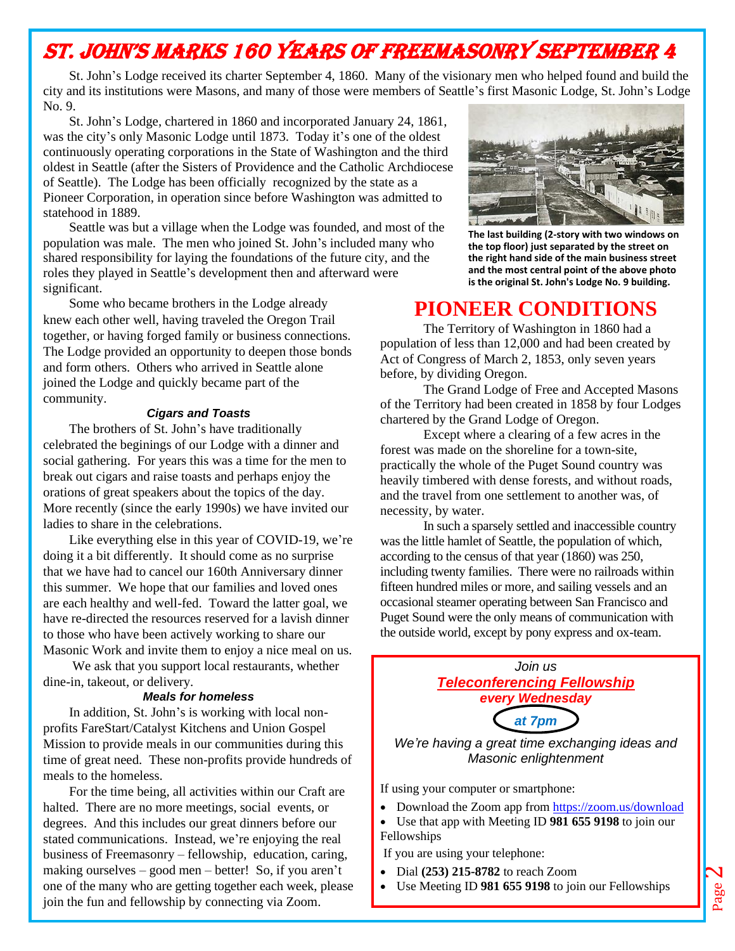# St. John's Marks 160 years of Freemasonry September 4

St. John's Lodge received its charter September 4, 1860. Many of the visionary men who helped found and build the city and its institutions were Masons, and many of those were members of Seattle's first Masonic Lodge, St. John's Lodge No. 9.

St. John's Lodge, chartered in 1860 and incorporated January 24, 1861, was the city's only Masonic Lodge until 1873. Today it's one of the oldest continuously operating corporations in the State of Washington and the third oldest in Seattle (after the Sisters of Providence and the Catholic Archdiocese of Seattle). The Lodge has been officially recognized by the state as a Pioneer Corporation, in operation since before Washington was admitted to statehood in 1889.

Seattle was but a village when the Lodge was founded, and most of the population was male. The men who joined St. John's included many who shared responsibility for laying the foundations of the future city, and the roles they played in Seattle's development then and afterward were significant.

Some who became brothers in the Lodge already knew each other well, having traveled the Oregon Trail together, or having forged family or business connections. The Lodge provided an opportunity to deepen those bonds and form others. Others who arrived in Seattle alone joined the Lodge and quickly became part of the community.

#### *Cigars and Toasts*

The brothers of St. John's have traditionally celebrated the beginings of our Lodge with a dinner and social gathering. For years this was a time for the men to break out cigars and raise toasts and perhaps enjoy the orations of great speakers about the topics of the day. More recently (since the early 1990s) we have invited our ladies to share in the celebrations.

Like everything else in this year of COVID-19, we're doing it a bit differently. It should come as no surprise that we have had to cancel our 160th Anniversary dinner this summer. We hope that our families and loved ones are each healthy and well-fed. Toward the latter goal, we have re-directed the resources reserved for a lavish dinner to those who have been actively working to share our Masonic Work and invite them to enjoy a nice meal on us.

We ask that you support local restaurants, whether dine-in, takeout, or delivery.

#### *Meals for homeless*

In addition, St. John's is working with local nonprofits FareStart/Catalyst Kitchens and Union Gospel Mission to provide meals in our communities during this time of great need. These non-profits provide hundreds of meals to the homeless.

For the time being, all activities within our Craft are halted. There are no more meetings, social events, or degrees. And this includes our great dinners before our stated communications. Instead, we're enjoying the real business of Freemasonry – fellowship, education, caring, making ourselves – good men – better! So, if you aren't one of the many who are getting together each week, please join the fun and fellowship by connecting via Zoom.



**The last building (2-story with two windows on the top floor) just separated by the street on the right hand side of the main business street and the most central point of the above photo is the original St. John's Lodge No. 9 building.**

## **PIONEER CONDITIONS**

The Territory of Washington in 1860 had a population of less than 12,000 and had been created by Act of Congress of March 2, 1853, only seven years before, by dividing Oregon.

The Grand Lodge of Free and Accepted Masons of the Territory had been created in 1858 by four Lodges chartered by the Grand Lodge of Oregon.

Except where a clearing of a few acres in the forest was made on the shoreline for a town-site, practically the whole of the Puget Sound country was heavily timbered with dense forests, and without roads, and the travel from one settlement to another was, of necessity, by water.

In such a sparsely settled and inaccessible country was the little hamlet of Seattle, the population of which, according to the census of that year (1860) was 250, including twenty families. There were no railroads within fifteen hundred miles or more, and sailing vessels and an occasional steamer operating between San Francisco and Puget Sound were the only means of communication with the outside world, except by pony express and ox-team.



If using your computer or smartphone:

- Download the Zoom app fro[m https://zoom.us/download](https://zoom.us/download)
- Use that app with Meeting ID **981 655 9198** to join our Fellowships

If you are using your telephone:

- Dial **(253) 215-8782** to reach Zoom
- Use Meeting ID **981 655 9198** to join our Fellowships

Page  $\boldsymbol{\mathsf{N}}$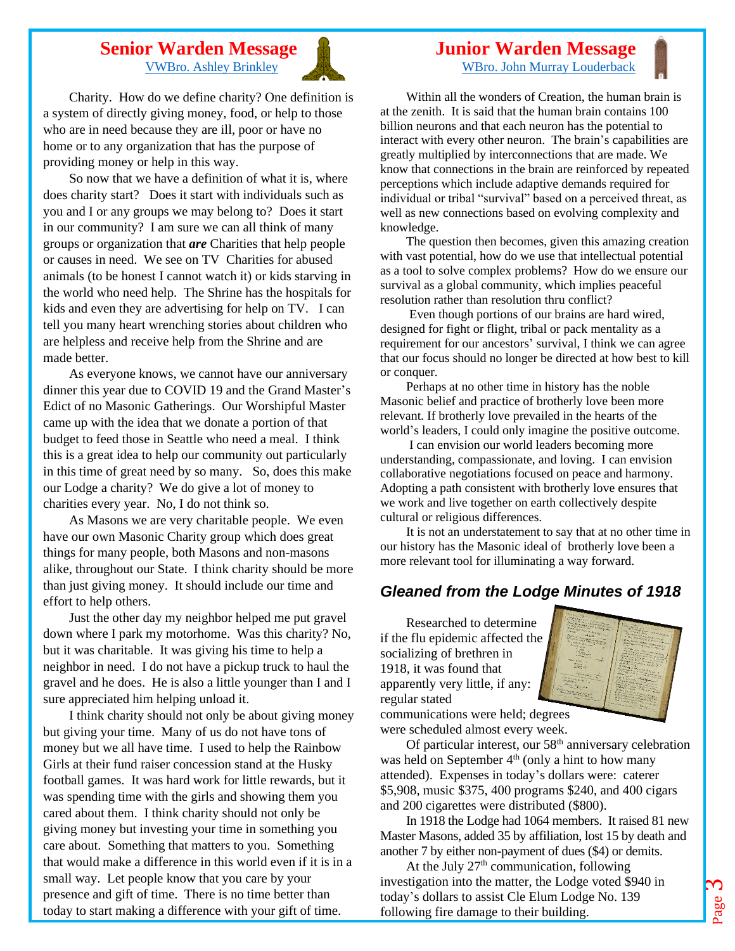#### **Senior Warden Message** [VWBro. Ashley Brinkley](mailto:threehounds@aol.com)



Charity. How do we define charity? One definition is a system of directly giving money, food, or help to those who are in need because they are ill, poor or have no home or to any organization that has the purpose of providing money or help in this way.

So now that we have a definition of what it is, where does charity start? Does it start with individuals such as you and I or any groups we may belong to? Does it start in our community? I am sure we can all think of many groups or organization that *are* Charities that help people or causes in need. We see on TV Charities for abused animals (to be honest I cannot watch it) or kids starving in the world who need help. The Shrine has the hospitals for kids and even they are advertising for help on TV. I can tell you many heart wrenching stories about children who are helpless and receive help from the Shrine and are made better.

As everyone knows, we cannot have our anniversary dinner this year due to COVID 19 and the Grand Master's Edict of no Masonic Gatherings. Our Worshipful Master came up with the idea that we donate a portion of that budget to feed those in Seattle who need a meal. I think this is a great idea to help our community out particularly in this time of great need by so many. So, does this make our Lodge a charity? We do give a lot of money to charities every year. No, I do not think so.

As Masons we are very charitable people. We even have our own Masonic Charity group which does great things for many people, both Masons and non-masons alike, throughout our State. I think charity should be more than just giving money. It should include our time and effort to help others.

Just the other day my neighbor helped me put gravel down where I park my motorhome. Was this charity? No, but it was charitable. It was giving his time to help a neighbor in need. I do not have a pickup truck to haul the gravel and he does. He is also a little younger than I and I sure appreciated him helping unload it.

I think charity should not only be about giving money but giving your time. Many of us do not have tons of money but we all have time. I used to help the Rainbow Girls at their fund raiser concession stand at the Husky football games. It was hard work for little rewards, but it was spending time with the girls and showing them you cared about them. I think charity should not only be giving money but investing your time in something you care about. Something that matters to you. Something that would make a difference in this world even if it is in a small way. Let people know that you care by your presence and gift of time. There is no time better than today to start making a difference with your gift of time.

#### **Junior Warden Message** [WBro. John Murray Louderback](mailto:johnmlouderback@outlook.com)

Within all the wonders of Creation, the human brain is at the zenith. It is said that the human brain contains 100 billion neurons and that each neuron has the potential to interact with every other neuron. The brain's capabilities are greatly multiplied by interconnections that are made. We know that connections in the brain are reinforced by repeated perceptions which include adaptive demands required for individual or tribal "survival" based on a perceived threat, as well as new connections based on evolving complexity and knowledge.

The question then becomes, given this amazing creation with vast potential, how do we use that intellectual potential as a tool to solve complex problems? How do we ensure our survival as a global community, which implies peaceful resolution rather than resolution thru conflict?

Even though portions of our brains are hard wired, designed for fight or flight, tribal or pack mentality as a requirement for our ancestors' survival, I think we can agree that our focus should no longer be directed at how best to kill or conquer.

Perhaps at no other time in history has the noble Masonic belief and practice of brotherly love been more relevant. If brotherly love prevailed in the hearts of the world's leaders, I could only imagine the positive outcome.

I can envision our world leaders becoming more understanding, compassionate, and loving. I can envision collaborative negotiations focused on peace and harmony. Adopting a path consistent with brotherly love ensures that we work and live together on earth collectively despite cultural or religious differences.

It is not an understatement to say that at no other time in our history has the Masonic ideal of brotherly love been a more relevant tool for illuminating a way forward.

### *Gleaned from the Lodge Minutes of 1918*

Researched to determine if the flu epidemic affected the socializing of brethren in 1918, it was found that apparently very little, if any: regular stated



communications were held; degrees were scheduled almost every week.

Of particular interest, our 58<sup>th</sup> anniversary celebration was held on September  $4<sup>th</sup>$  (only a hint to how many attended). Expenses in today's dollars were: caterer \$5,908, music \$375, 400 programs \$240, and 400 cigars and 200 cigarettes were distributed (\$800).

In 1918 the Lodge had 1064 members. It raised 81 new Master Masons, added 35 by affiliation, lost 15 by death and another 7 by either non-payment of dues (\$4) or demits.

At the July  $27<sup>th</sup>$  communication, following investigation into the matter, the Lodge voted \$940 in today's dollars to assist Cle Elum Lodge No. 139 following fire damage to their building.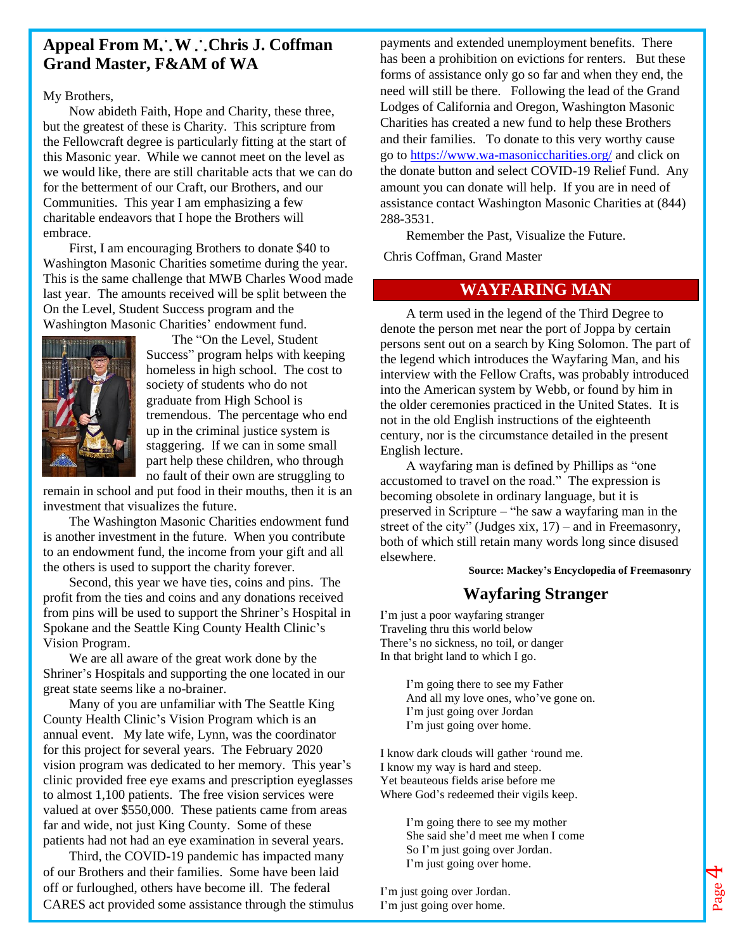### Appeal From M. W. Chris J. Coffman **Grand Master, F&AM of WA**

#### My Brothers,

Now abideth Faith, Hope and Charity, these three, but the greatest of these is Charity. This scripture from the Fellowcraft degree is particularly fitting at the start of this Masonic year. While we cannot meet on the level as we would like, there are still charitable acts that we can do for the betterment of our Craft, our Brothers, and our Communities. This year I am emphasizing a few charitable endeavors that I hope the Brothers will embrace.

First, I am encouraging Brothers to donate \$40 to Washington Masonic Charities sometime during the year. This is the same challenge that MWB Charles Wood made last year. The amounts received will be split between the On the Level, Student Success program and the Washington Masonic Charities' endowment fund.



The "On the Level, Student Success" program helps with keeping homeless in high school. The cost to society of students who do not graduate from High School is tremendous. The percentage who end up in the criminal justice system is staggering. If we can in some small part help these children, who through no fault of their own are struggling to

remain in school and put food in their mouths, then it is an investment that visualizes the future.

The Washington Masonic Charities endowment fund is another investment in the future. When you contribute to an endowment fund, the income from your gift and all the others is used to support the charity forever.

Second, this year we have ties, coins and pins. The profit from the ties and coins and any donations received from pins will be used to support the Shriner's Hospital in Spokane and the Seattle King County Health Clinic's Vision Program.

We are all aware of the great work done by the Shriner's Hospitals and supporting the one located in our great state seems like a no-brainer.

Many of you are unfamiliar with The Seattle King County Health Clinic's Vision Program which is an annual event. My late wife, Lynn, was the coordinator for this project for several years. The February 2020 vision program was dedicated to her memory. This year's clinic provided free eye exams and prescription eyeglasses to almost 1,100 patients. The free vision services were valued at over \$550,000. These patients came from areas far and wide, not just King County. Some of these patients had not had an eye examination in several years.

Third, the COVID-19 pandemic has impacted many of our Brothers and their families. Some have been laid off or furloughed, others have become ill. The federal CARES act provided some assistance through the stimulus payments and extended unemployment benefits. There has been a prohibition on evictions for renters. But these forms of assistance only go so far and when they end, the need will still be there. Following the lead of the Grand Lodges of California and Oregon, Washington Masonic Charities has created a new fund to help these Brothers and their families. To donate to this very worthy cause go to<https://www.wa-masoniccharities.org/> and click on the donate button and select COVID-19 Relief Fund. Any amount you can donate will help. If you are in need of assistance contact Washington Masonic Charities at (844) 288-3531.

Remember the Past, Visualize the Future.

Chris Coffman, Grand Master

#### **WAYFARING MAN**

A term used in the legend of the Third Degree to denote the person met near the port of Joppa by certain persons sent out on a search by King Solomon. The part of the legend which introduces the Wayfaring Man, and his interview with the Fellow Crafts, was probably introduced into the American system by Webb, or found by him in the older ceremonies practiced in the United States. It is not in the old English instructions of the eighteenth century, nor is the circumstance detailed in the present English lecture.

A wayfaring man is defined by Phillips as "one accustomed to travel on the road." The expression is becoming obsolete in ordinary language, but it is preserved in Scripture – "he saw a wayfaring man in the street of the city" (Judges xix, 17) – and in Freemasonry, both of which still retain many words long since disused elsewhere.

**Source: Mackey's Encyclopedia of Freemasonry**

Page

4

#### **Wayfaring Stranger**

I'm just a poor wayfaring stranger Traveling thru this world below There's no sickness, no toil, or danger In that bright land to which I go.

> I'm going there to see my Father And all my love ones, who've gone on. I'm just going over Jordan I'm just going over home.

I know dark clouds will gather 'round me. I know my way is hard and steep. Yet beauteous fields arise before me Where God's redeemed their vigils keep.

> I'm going there to see my mother She said she'd meet me when I come So I'm just going over Jordan. I'm just going over home.

I'm just going over Jordan. I'm just going over home.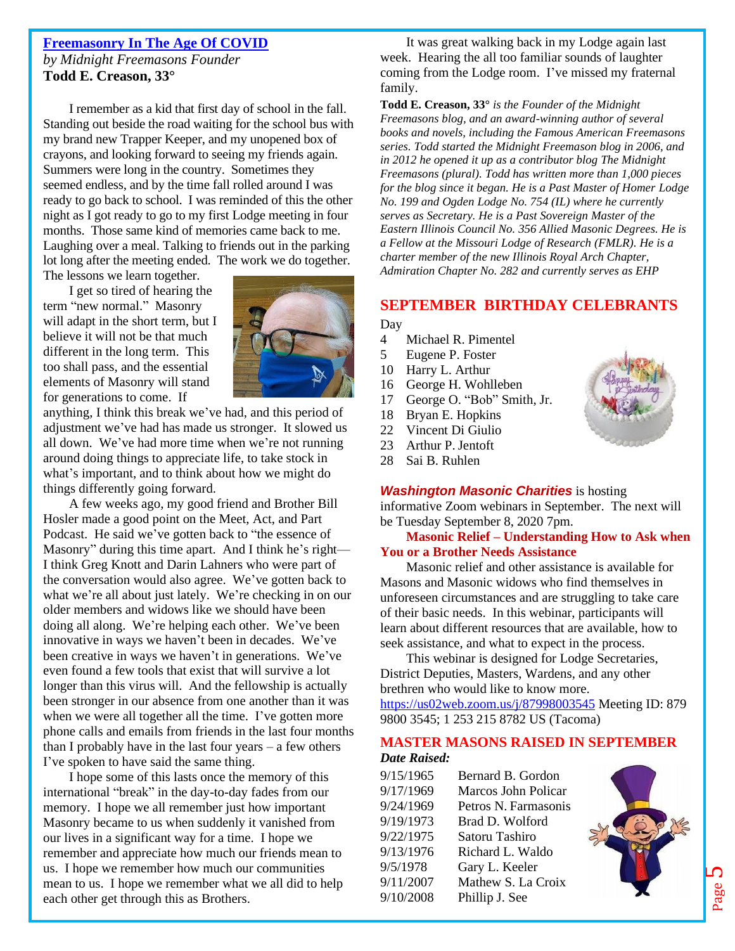## **Freemasonry In The Age Of COVID**

*by Midnight Freemasons Founder* **Todd E. Creason, 33°**

I remember as a kid that first day of school in the fall. Standing out beside the road waiting for the school bus with my brand new Trapper Keeper, and my unopened box of crayons, and looking forward to seeing my friends again. Summers were long in the country. Sometimes they seemed endless, and by the time fall rolled around I was ready to go back to school. I was reminded of this the other night as I got ready to go to my first Lodge meeting in four months. Those same kind of memories came back to me. Laughing over a meal. Talking to friends out in the parking lot long after the meeting ended. The work we do together.

The lessons we learn together.

I get so tired of hearing the term "new normal." Masonry will adapt in the short term, but I believe it will not be that much different in the long term. This too shall pass, and the essential elements of Masonry will stand for generations to come. If



anything, I think this break we've had, and this period of adjustment we've had has made us stronger. It slowed us all down. We've had more time when we're not running around doing things to appreciate life, to take stock in what's important, and to think about how we might do things differently going forward.

A few weeks ago, my good friend and Brother Bill Hosler made a good point on the [Meet, Act, and Part](http://meetactandpart.com/)  [Podcast.](http://meetactandpart.com/) He said we've gotten back to "the essence of Masonry" during this time apart. And I think he's right— I think Greg Knott and Darin Lahners who were part of the conversation would also agree. We've gotten back to what we're all about just lately. We're checking in on our older members and widows like we should have been doing all along. We're helping each other. We've been innovative in ways we haven't been in decades. We've been creative in ways we haven't in generations. We've even found a few tools that exist that will survive a lot longer than this virus will. And the fellowship is actually been stronger in our absence from one another than it was when we were all together all the time. I've gotten more phone calls and emails from friends in the last four months than I probably have in the last four years – a few others I've spoken to have said the same thing.

I hope some of this lasts once the memory of this international "break" in the day-to-day fades from our memory. I hope we all remember just how important Masonry became to us when suddenly it vanished from our lives in a significant way for a time. I hope we remember and appreciate how much our friends mean to us. I hope we remember how much our communities mean to us. I hope we remember what we all did to help each other get through this as Brothers.

It was great walking back in my Lodge again last week. Hearing the all too familiar sounds of laughter coming from the Lodge room. I've missed my fraternal family.

**Todd E. Creason, 33°** *is the Founder of the Midnight Freemasons blog, and an award-winning author of several books and novels, including the Famous American Freemasons series. Todd started the Midnight Freemason blog in 2006, and in 2012 he opened it up as a contributor blog The Midnight Freemasons (plural). Todd has written more than 1,000 pieces for the blog since it began. He is a Past Master of Homer Lodge No. 199 and Ogden Lodge No. 754 (IL) where he currently serves as Secretary. He is a Past Sovereign Master of the Eastern Illinois Council No. 356 Allied Masonic Degrees. He is a Fellow at the Missouri Lodge of Research (FMLR). He is a charter member of the new Illinois Royal Arch Chapter, Admiration Chapter No. 282 and currently serves as EHP*

### **SEPTEMBER BIRTHDAY CELEBRANTS**

Day

- 4 Michael R. Pimentel
- 5 Eugene P. Foster
- 10 Harry L. Arthur
- 16 George H. Wohlleben
- 17 George O. "Bob" Smith, Jr.
- 18 Bryan E. Hopkins
- 22 Vincent Di Giulio
- 23 Arthur P. Jentoft
- 28 Sai B. Ruhlen

## *Washington Masonic Charities* is hosting

informative Zoom webinars in September. The next will be Tuesday September 8, 2020 7pm.

#### **Masonic Relief – Understanding How to Ask when You or a Brother Needs Assistance**

Masonic relief and other assistance is available for Masons and Masonic widows who find themselves in unforeseen circumstances and are struggling to take care of their basic needs. In this webinar, participants will learn about different resources that are available, how to seek assistance, and what to expect in the process.

This webinar is designed for Lodge Secretaries, District Deputies, Masters, Wardens, and any other brethren who would like to know more. [https://us02web.zoom.us/j/87998003545](http://r20.rs6.net/tn.jsp?f=001dX7sH-R3Jkr2G8Few_K29XtSYaWH7p1XKgcy6wsuHVxCvGWKRNCEqpCRWZrGB-3RQTSP1xQavptoYT5o7c7T_hbwrwoc6sPWY-zayd6dFO5JooIeVAlX6iPe-deYbcrplF5FtKKiqT6ZXckXNWWLcb3-B1n45-BP8SuPQG0q3TM=&c=cfV_cREII6_j3jcYeO4f0BikLSEAK3S6bom_UJtCu23IarraKzujcA==&ch=29OYXBjnnT4MdSyirHqXUvzG1L1ukKQXpRrsOeKz86tSf9SCZxBuUQ==) Meeting ID: 879 9800 3545; 1 253 215 8782 US (Tacoma)

#### **MASTER MASONS RAISED IN SEPTEMBER** *Date Raised:*

| 9/15/1965 | Bernard B. Gordon    |
|-----------|----------------------|
| 9/17/1969 | Marcos John Policar  |
| 9/24/1969 | Petros N. Farmasonis |
| 9/19/1973 | Brad D. Wolford      |
| 9/22/1975 | Satoru Tashiro       |
| 9/13/1976 | Richard L. Waldo     |
| 9/5/1978  | Gary L. Keeler       |
| 9/11/2007 | Mathew S. La Croix   |
| 9/10/2008 | Phillip J. See       |

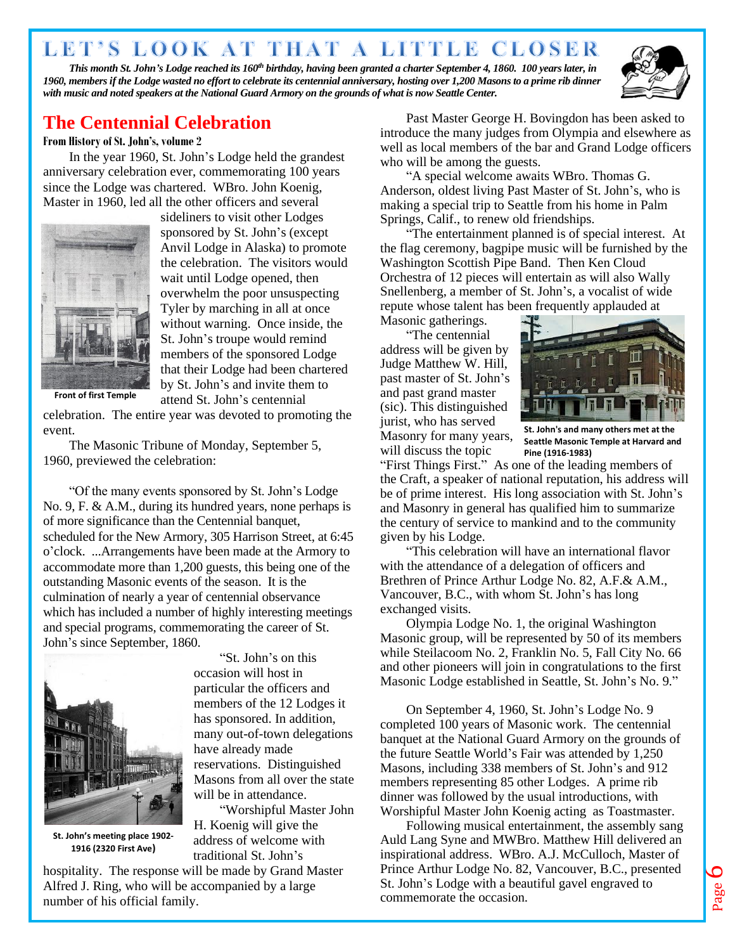# LET'S LOOK AT THAT A LITTLE CLOSER

*This month St. John's Lodge reached its 160th birthday, having been granted a charter September 4, 1860. 100 years later, in 1960, members if the Lodge wasted no effort to celebrate its centennial anniversary, hosting over 1,200 Masons to a prime rib dinner with music and noted speakers at the National Guard Armory on the grounds of what is now Seattle Center.*



### **The Centennial Celebration**

#### **From History of St. John's, volume 2**

In the year 1960, St. John's Lodge held the grandest anniversary celebration ever, commemorating 100 years since the Lodge was chartered. WBro. John Koenig, Master in 1960, led all the other officers and several



sideliners to visit other Lodges sponsored by St. John's (except Anvil Lodge in Alaska) to promote the celebration. The visitors would wait until Lodge opened, then overwhelm the poor unsuspecting Tyler by marching in all at once without warning. Once inside, the St. John's troupe would remind members of the sponsored Lodge that their Lodge had been chartered by St. John's and invite them to attend St. John's centennial

**Front of first Temple**

celebration. The entire year was devoted to promoting the event.

The Masonic Tribune of Monday, September 5, 1960, previewed the celebration:

"Of the many events sponsored by St. John's Lodge No. 9, F. & A.M., during its hundred years, none perhaps is of more significance than the Centennial banquet, scheduled for the New Armory, 305 Harrison Street, at 6:45 o'clock. ...Arrangements have been made at the Armory to accommodate more than 1,200 guests, this being one of the outstanding Masonic events of the season. It is the culmination of nearly a year of centennial observance which has included a number of highly interesting meetings and special programs, commemorating the career of St. John's since September, 1860.



**St. John's meeting place 1902- 1916 (2320 First Ave)**

"St. John's on this occasion will host in particular the officers and members of the 12 Lodges it has sponsored. In addition, many out-of-town delegations have already made reservations. Distinguished Masons from all over the state will be in attendance.

"Worshipful Master John H. Koenig will give the address of welcome with traditional St. John's

hospitality. The response will be made by Grand Master Alfred J. Ring, who will be accompanied by a large number of his official family.

Past Master George H. Bovingdon has been asked to introduce the many judges from Olympia and elsewhere as well as local members of the bar and Grand Lodge officers who will be among the guests.

"A special welcome awaits WBro. Thomas G. Anderson, oldest living Past Master of St. John's, who is making a special trip to Seattle from his home in Palm Springs, Calif., to renew old friendships.

"The entertainment planned is of special interest. At the flag ceremony, bagpipe music will be furnished by the Washington Scottish Pipe Band. Then Ken Cloud Orchestra of 12 pieces will entertain as will also Wally Snellenberg, a member of St. John's, a vocalist of wide repute whose talent has been frequently applauded at

Masonic gatherings.

"The centennial address will be given by Judge Matthew W. Hill, past master of St. John's and past grand master (sic). This distinguished jurist, who has served Masonry for many years, will discuss the topic



**St. John's and many others met at the Seattle Masonic Temple at Harvard and Pine (1916-1983)**

"First Things First." As one of the leading members of the Craft, a speaker of national reputation, his address will be of prime interest. His long association with St. John's and Masonry in general has qualified him to summarize the century of service to mankind and to the community given by his Lodge.

"This celebration will have an international flavor with the attendance of a delegation of officers and Brethren of Prince Arthur Lodge No. 82, A.F.& A.M., Vancouver, B.C., with whom St. John's has long exchanged visits.

Olympia Lodge No. 1, the original Washington Masonic group, will be represented by 50 of its members while Steilacoom No. 2, Franklin No. 5, Fall City No. 66 and other pioneers will join in congratulations to the first Masonic Lodge established in Seattle, St. John's No. 9."

On September 4, 1960, St. John's Lodge No. 9 completed 100 years of Masonic work. The centennial banquet at the National Guard Armory on the grounds of the future Seattle World's Fair was attended by 1,250 Masons, including 338 members of St. John's and 912 members representing 85 other Lodges. A prime rib dinner was followed by the usual introductions, with Worshipful Master John Koenig acting as Toastmaster.

Following musical entertainment, the assembly sang Auld Lang Syne and MWBro. Matthew Hill delivered an inspirational address. WBro. A.J. McCulloch, Master of Prince Arthur Lodge No. 82, Vancouver, B.C., presented St. John's Lodge with a beautiful gavel engraved to commemorate the occasion.

Page  $\overline{6}$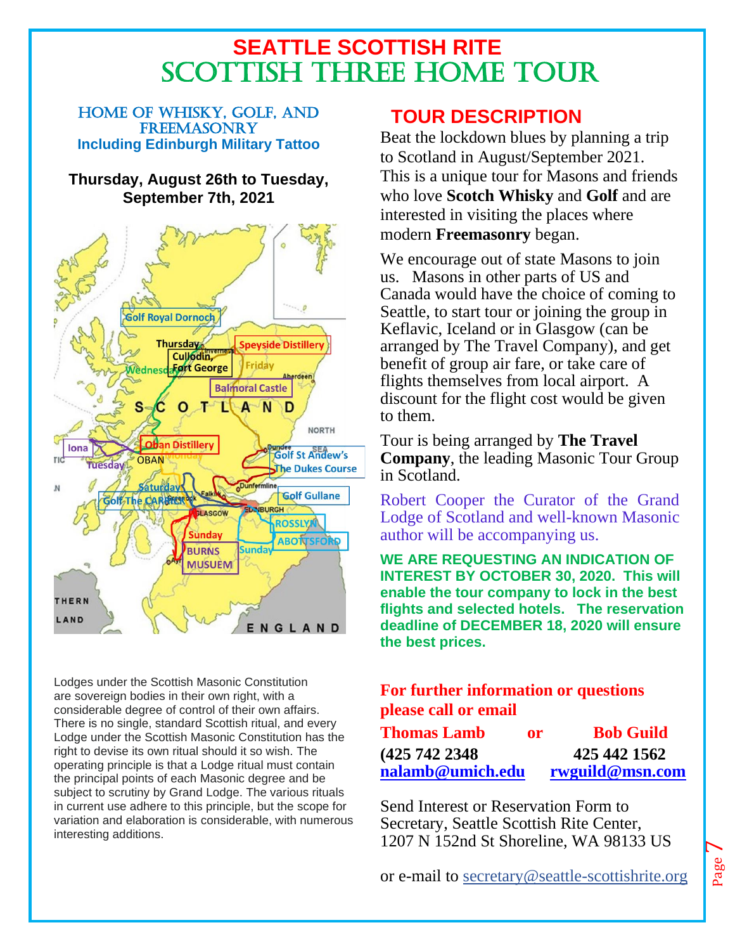# **SEATTLE SCOTTISH RITE** SCOTTISH THREE HOME TOUR

HOME OF WHISKY, GOLF, AND FREEMASONRY **Including Edinburgh Military Tattoo**

### **Thursday, August 26th to Tuesday, September 7th, 2021**



Lodges under the Scottish Masonic Constitution are sovereign bodies in their own right, with a considerable degree of control of their own affairs. There is no single, standard Scottish ritual, and every Lodge under the Scottish Masonic Constitution has the right to devise its own ritual should it so wish. The operating principle is that a Lodge ritual must contain the principal points of each Masonic degree and be subject to scrutiny by Grand Lodge. The various rituals in current use adhere to this principle, but the scope for variation and elaboration is considerable, with numerous interesting additions.

# **TOUR DESCRIPTION**

Beat the lockdown blues by planning a trip to Scotland in August/September 2021. This is a unique tour for Masons and friends who love **Scotch Whisky** and **Golf** and are interested in visiting the places where modern **Freemasonry** began.

We encourage out of state Masons to join us. Masons in other parts of US and Canada would have the choice of coming to Seattle, to start tour or joining the group in Keflavic, Iceland or in Glasgow (can be arranged by The Travel Company), and get benefit of group air fare, or take care of flights themselves from local airport. A discount for the flight cost would be given to them.

Tour is being arranged by **The Travel Company**, the leading Masonic Tour Group in Scotland.

Robert Cooper the Curator of the Grand Lodge of Scotland and well-known Masonic author will be accompanying us.

**WE ARE REQUESTING AN INDICATION OF INTEREST BY OCTOBER 30, 2020. This will enable the tour company to lock in the best flights and selected hotels. The reservation deadline of DECEMBER 18, 2020 will ensure the best prices.**

### **For further information or questions please call or email**

| <b>Thomas Lamb</b> | or | <b>Bob Guild</b> |
|--------------------|----|------------------|
| (425 742 2348      |    | 425 442 1562     |
| nalamb@umich.edu   |    | rwguild@msn.com  |

Send Interest or Reservation Form to Secretary, Seattle Scottish Rite Center, 1207 N 152nd St Shoreline, WA 98133 US

or e-mail to [secretary@seattle-scottishrite.org](mailto:secretary@seattle-scottishrite.org)

 $\overline{\phantom{a}}$